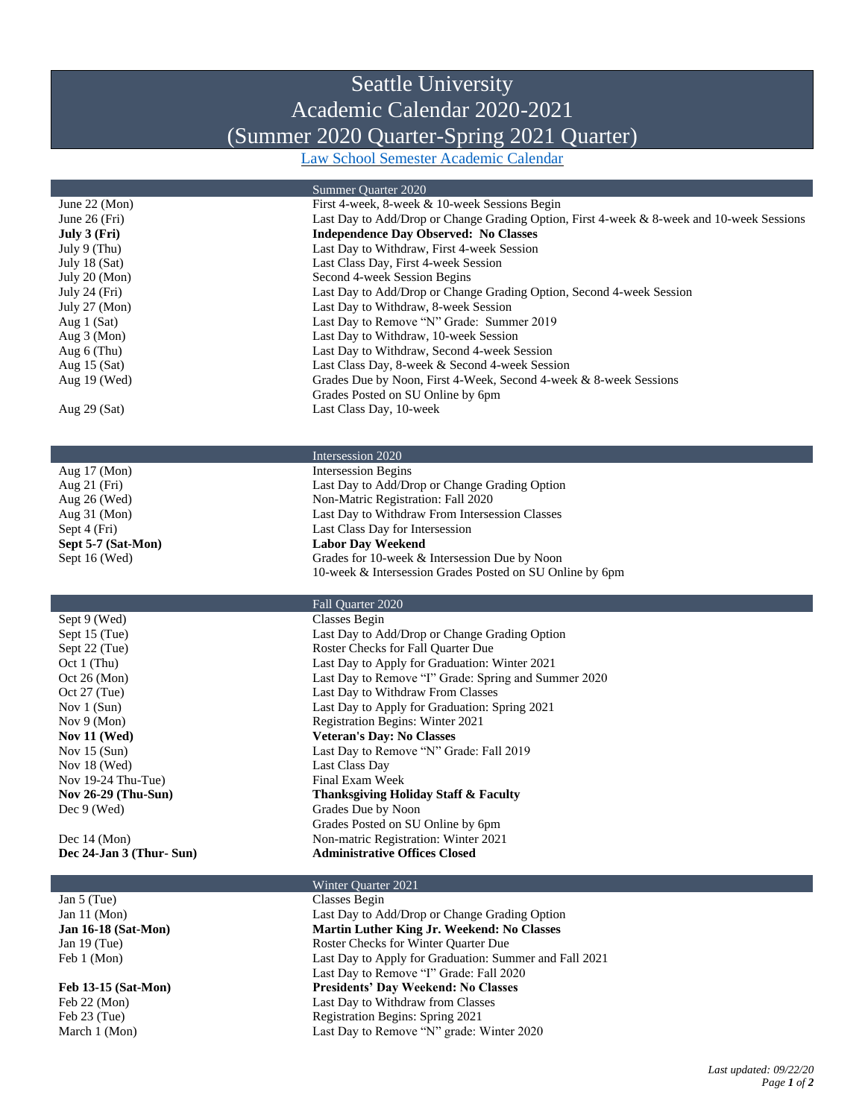## Seattle University Academic Calendar 2020-2021 (Summer 2020 Quarter-Spring 2021 Quarter)

[Law School Semester Academic Calendar](https://law.seattleu.edu/academics/curriculum/resources/academic-calendar)

|                            | Summer Quarter 2020<br>First 4-week, 8-week & 10-week Sessions Begin                      |
|----------------------------|-------------------------------------------------------------------------------------------|
| June $22 \, (Mon)$         |                                                                                           |
| June $26$ (Fri)            | Last Day to Add/Drop or Change Grading Option, First 4-week & 8-week and 10-week Sessions |
| July 3 (Fri)               | <b>Independence Day Observed: No Classes</b>                                              |
| July 9 (Thu)               | Last Day to Withdraw, First 4-week Session                                                |
| July 18 (Sat)              | Last Class Day, First 4-week Session                                                      |
| July 20 (Mon)              | Second 4-week Session Begins                                                              |
| July 24 $(Fri)$            | Last Day to Add/Drop or Change Grading Option, Second 4-week Session                      |
| July 27 (Mon)              | Last Day to Withdraw, 8-week Session                                                      |
| Aug $1$ (Sat)              | Last Day to Remove "N" Grade: Summer 2019                                                 |
| Aug $3 \text{ (Mon)}$      | Last Day to Withdraw, 10-week Session                                                     |
| Aug 6 (Thu)                | Last Day to Withdraw, Second 4-week Session                                               |
| Aug $15$ (Sat)             | Last Class Day, 8-week & Second 4-week Session                                            |
| Aug $19$ (Wed)             | Grades Due by Noon, First 4-Week, Second 4-week & 8-week Sessions                         |
|                            |                                                                                           |
|                            | Grades Posted on SU Online by 6pm                                                         |
| Aug 29 (Sat)               | Last Class Day, 10-week                                                                   |
|                            |                                                                                           |
|                            |                                                                                           |
|                            | Intersession 2020                                                                         |
| Aug 17 (Mon)               | <b>Intersession Begins</b>                                                                |
| Aug $21$ (Fri)             | Last Day to Add/Drop or Change Grading Option                                             |
| Aug 26 (Wed)               | Non-Matric Registration: Fall 2020                                                        |
| Aug $31 \, (Mon)$          | Last Day to Withdraw From Intersession Classes                                            |
| Sept 4 (Fri)               | Last Class Day for Intersession                                                           |
| Sept 5-7 (Sat-Mon)         | <b>Labor Day Weekend</b>                                                                  |
| Sept 16 (Wed)              | Grades for 10-week & Intersession Due by Noon                                             |
|                            | 10-week & Intersession Grades Posted on SU Online by 6pm                                  |
|                            |                                                                                           |
|                            | Fall Quarter 2020                                                                         |
| Sept 9 (Wed)               | <b>Classes Begin</b>                                                                      |
|                            |                                                                                           |
| Sept 15 (Tue)              | Last Day to Add/Drop or Change Grading Option                                             |
| Sept 22 (Tue)              | Roster Checks for Fall Quarter Due                                                        |
| Oct 1 ( Thu)               | Last Day to Apply for Graduation: Winter 2021                                             |
| Oct 26 (Mon)               | Last Day to Remove "I" Grade: Spring and Summer 2020                                      |
| Oct $27$ (Tue)             | Last Day to Withdraw From Classes                                                         |
| Nov $1$ (Sun)              | Last Day to Apply for Graduation: Spring 2021                                             |
| Nov $9 \text{ (Mon)}$      | Registration Begins: Winter 2021                                                          |
| Nov $11$ (Wed)             | <b>Veteran's Day: No Classes</b>                                                          |
| Nov $15$ (Sun)             | Last Day to Remove "N" Grade: Fall 2019                                                   |
| Nov 18 (Wed)               | Last Class Day                                                                            |
| Nov $19-24$ Thu-Tue)       | Final Exam Week                                                                           |
| <b>Nov 26-29 (Thu-Sun)</b> | <b>Thanksgiving Holiday Staff &amp; Faculty</b>                                           |
| Dec 9 (Wed)                | Grades Due by Noon                                                                        |
|                            | Grades Posted on SU Online by 6pm                                                         |
|                            |                                                                                           |
| Dec $14 \, (Mon)$          | Non-matric Registration: Winter 2021                                                      |
| Dec 24-Jan 3 (Thur-Sun)    | <b>Administrative Offices Closed</b>                                                      |
|                            | Winter Quarter 2021                                                                       |
| Jan 5 (Tue)                | <b>Classes Begin</b>                                                                      |
|                            | Last Day to Add/Drop or Change Grading Option                                             |
| Jan 11 $(Mon)$             |                                                                                           |
| <b>Jan 16-18 (Sat-Mon)</b> | Martin Luther King Jr. Weekend: No Classes                                                |
| Jan $19$ (Tue)             | Roster Checks for Winter Quarter Due                                                      |
| Feb 1 (Mon)                | Last Day to Apply for Graduation: Summer and Fall 2021                                    |

Last Day to Remove "I" Grade: Fall 2020

**Feb 13-15 (Sat-Mon) Presidents' Day Weekend: No Classes** Feb 22 (Mon) Last Day to Withdraw from Classes Feb 23 (Tue) Registration Begins: Spring 2021 March 1 (Mon) Last Day to Remove "N" grade: Winter 2020